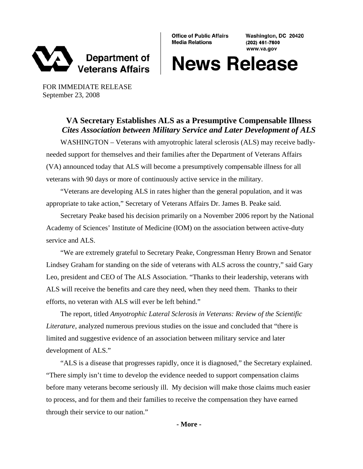

**Office of Public Affairs Media Relations** 

Washington, DC 20420 (202) 461-7600 www.va.gov

## **News Release**

FOR IMMEDIATE RELEASE September 23, 2008

## **VA Secretary Establishes ALS as a Presumptive Compensable Illness**  *Cites Association between Military Service and Later Development of ALS*

WASHINGTON – Veterans with amyotrophic lateral sclerosis (ALS) may receive badlyneeded support for themselves and their families after the Department of Veterans Affairs (VA) announced today that ALS will become a presumptively compensable illness for all veterans with 90 days or more of continuously active service in the military.

"Veterans are developing ALS in rates higher than the general population, and it was appropriate to take action," Secretary of Veterans Affairs Dr. James B. Peake said.

Secretary Peake based his decision primarily on a November 2006 report by the National Academy of Sciences' Institute of Medicine (IOM) on the association between active-duty service and ALS.

"We are extremely grateful to Secretary Peake, Congressman Henry Brown and Senator Lindsey Graham for standing on the side of veterans with ALS across the country," said Gary Leo, president and CEO of The ALS Association. "Thanks to their leadership, veterans with ALS will receive the benefits and care they need, when they need them. Thanks to their efforts, no veteran with ALS will ever be left behind."

The report, titled *Amyotrophic Lateral Sclerosis in Veterans: Review of the Scientific Literature*, analyzed numerous previous studies on the issue and concluded that "there is limited and suggestive evidence of an association between military service and later development of ALS."

"ALS is a disease that progresses rapidly, once it is diagnosed," the Secretary explained. "There simply isn't time to develop the evidence needed to support compensation claims before many veterans become seriously ill. My decision will make those claims much easier to process, and for them and their families to receive the compensation they have earned through their service to our nation."

**- More -**